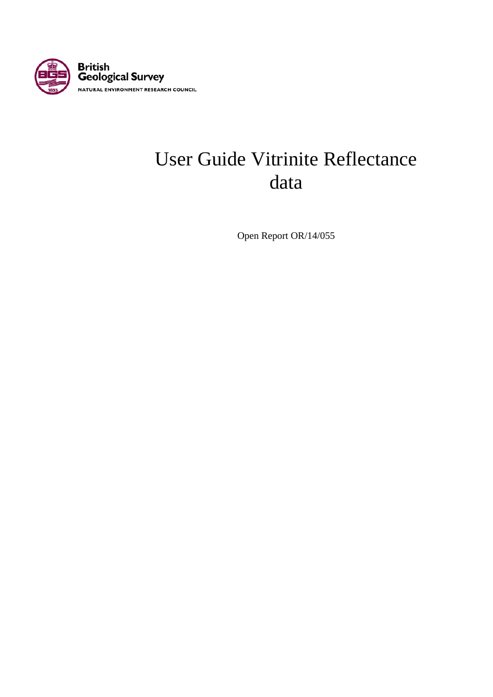

# User Guide Vitrinite Reflectance data

Open Report OR/14/055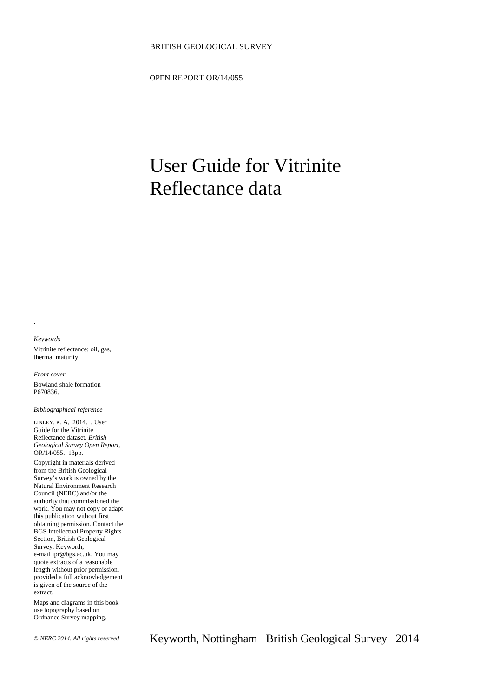#### BRITISH GEOLOGICAL SURVEY

OPEN REPORT OR/14/055

# User Guide for Vitrinite Reflectance data

#### *Keywords*

.

Vitrinite reflectance; oil, gas, thermal maturity.

*Front cover* Bowland shale formation P670836.

*Bibliographical reference*

LINLEY, K. A, 2014. . User Guide for the Vitrinite Reflectance dataset. *British Geological Survey Open Report*, OR/14/055. 13pp.

Copyright in materials derived from the British Geological Survey's work is owned by the Natural Environment Research Council (NERC) and/or the authority that commissioned the work. You may not copy or adapt this publication without first obtaining permission. Contact the BGS Intellectual Property Rights Section, British Geological Survey, Keyworth, e-mail ipr@bgs.ac.uk. You may quote extracts of a reasonable length without prior permission, provided a full acknowledgement is given of the source of the extract.

Maps and diagrams in this book use topography based on Ordnance Survey mapping.

© *NERC 2014. All rights reserved* Keyworth, Nottingham British Geological Survey 2014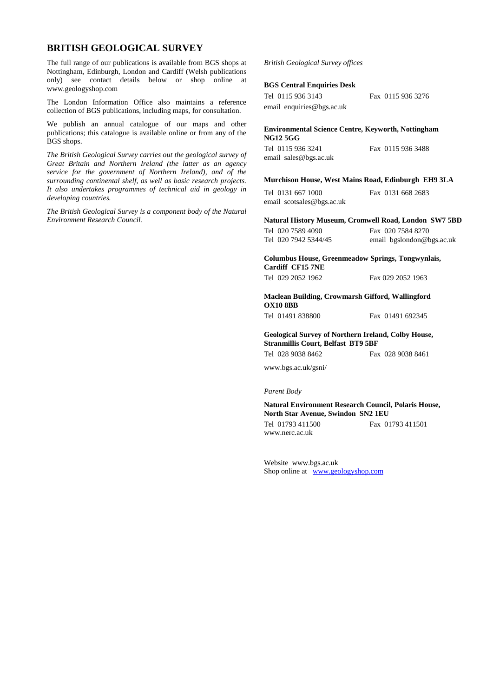### **BRITISH GEOLOGICAL SURVEY**

The full range of our publications is available from BGS shops at Nottingham, Edinburgh, London and Cardiff (Welsh publications only) see contact details below or shop online at www.geologyshop.com

The London Information Office also maintains a reference collection of BGS publications, including maps, for consultation.

We publish an annual catalogue of our maps and other publications; this catalogue is available online or from any of the BGS shops.

*The British Geological Survey carries out the geological survey of Great Britain and Northern Ireland (the latter as an agency service for the government of Northern Ireland), and of the surrounding continental shelf, as well as basic research projects. It also undertakes programmes of technical aid in geology in developing countries.*

*The British Geological Survey is a component body of the Natural Environment Research Council.*

#### *British Geological Survey offices*

#### **BGS Central Enquiries Desk**

| Tel 0115 936 3143         |
|---------------------------|
| email enquiries@bgs.ac.uk |

**Environmental Science Centre, Keyworth, Nottingham NG12 5GG**

| Tel 0115 936 3241     | Fax 0115 936 3488 |
|-----------------------|-------------------|
| email sales@bgs.ac.uk |                   |

#### **Murchison House, West Mains Road, Edinburgh EH9 3LA**

Tel 0131 667 1000 Fax 0131 668 2683 email scotsales@bgs.ac.uk

**Natural History Museum, Cromwell Road, London SW7 5BD**

Tel 020 7589 4090 Fax 020 7584 8270<br>Tel 020 7942 5344/45 email bgslondon@b email bgslondon@bgs.ac.uk

Fax 0115 936 3276

**Columbus House, Greenmeadow Springs, Tongwynlais, Cardiff CF15 7NE**

| Tel 029 2052 1962 | Fax 029 2052 1963 |
|-------------------|-------------------|
|                   |                   |

**Maclean Building, Crowmarsh Gifford, Wallingford OX10 8BB**

Tel 01491 838800 Fax 01491 692345

#### **Geological Survey of Northern Ireland, Colby House, Stranmillis Court, Belfast BT9 5BF**

Tel 028 9038 8462 Fax 028 9038 8461

www.bgs.ac.uk/gsni/

*Parent Body*

**Natural Environment Research Council, Polaris House, North Star Avenue, Swindon SN2 1EU**

Tel 01793 411500 Fax 01793 411501

www.nerc.ac.uk

Website www.bgs.ac.uk Shop online at [www.geologyshop.com](http://www.geologyshop.com/)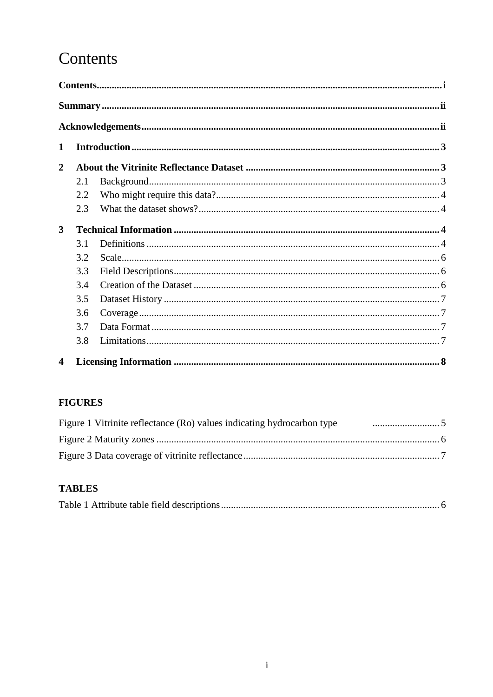# Contents

| $\mathbf 1$             |     |  |
|-------------------------|-----|--|
| $\overline{2}$          |     |  |
|                         | 2.1 |  |
|                         | 2.2 |  |
|                         | 2.3 |  |
| 3                       |     |  |
|                         | 3.1 |  |
|                         | 3.2 |  |
|                         | 3.3 |  |
|                         | 3.4 |  |
|                         | 3.5 |  |
|                         | 3.6 |  |
|                         | 3.7 |  |
|                         | 3.8 |  |
| $\overline{\mathbf{4}}$ |     |  |

## **FIGURES**

| Figure 1 Vitrinite reflectance (Ro) values indicating hydrocarbon type |  |
|------------------------------------------------------------------------|--|
|                                                                        |  |
|                                                                        |  |

## **TABLES**

|--|--|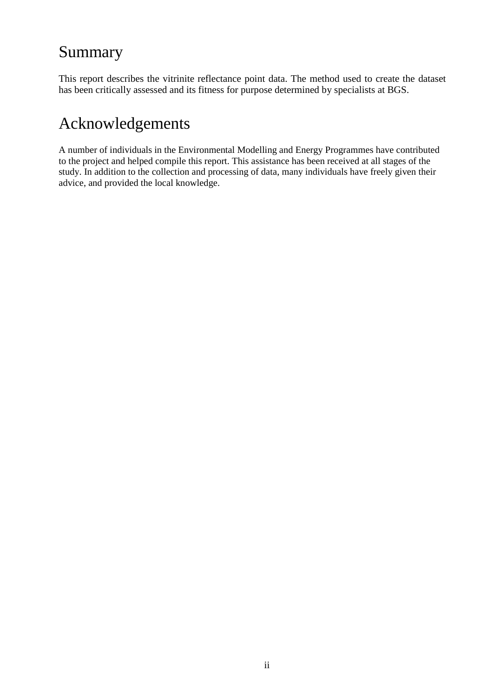# Summary

This report describes the vitrinite reflectance point data. The method used to create the dataset has been critically assessed and its fitness for purpose determined by specialists at BGS.

# Acknowledgements

A number of individuals in the Environmental Modelling and Energy Programmes have contributed to the project and helped compile this report. This assistance has been received at all stages of the study. In addition to the collection and processing of data, many individuals have freely given their advice, and provided the local knowledge.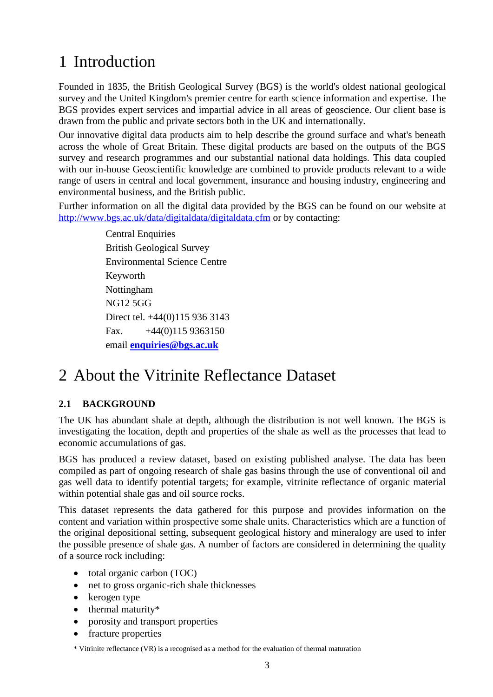# 1 Introduction

Founded in 1835, the British Geological Survey (BGS) is the world's oldest national geological survey and the United Kingdom's premier centre for earth science information and expertise. The BGS provides expert services and impartial advice in all areas of geoscience. Our client base is drawn from the public and private sectors both in the UK and internationally.

Our innovative digital data products aim to help describe the ground surface and what's beneath across the whole of Great Britain. These digital products are based on the outputs of the BGS survey and research programmes and our substantial national data holdings. This data coupled with our in-house Geoscientific knowledge are combined to provide products relevant to a wide range of users in central and local government, insurance and housing industry, engineering and environmental business, and the British public.

Further information on all the digital data provided by the BGS can be found on our website at [http://www.bgs.ac.uk/data/digitaldata/digitaldata.cfm](http://www.bgs.ac.uk/data/digitaldata/digitaldata.cfm?search=category) or by contacting:

> Central Enquiries British Geological Survey Environmental Science Centre Keyworth Nottingham NG12 5GG Direct tel. +44(0)115 936 3143 Fax.  $+44(0)1159363150$ email **[enquiries@bgs.ac.uk](mailto:enquiries@bgs.ac.uk)**

# 2 About the Vitrinite Reflectance Dataset

## **2.1 BACKGROUND**

The UK has abundant shale at depth, although the distribution is not well known. The BGS is investigating the location, depth and properties of the shale as well as the processes that lead to economic accumulations of gas.

BGS has produced a review dataset, based on existing published analyse. The data has been compiled as part of ongoing research of shale gas basins through the use of conventional oil and gas well data to identify potential targets; for example, vitrinite reflectance of organic material within potential shale gas and oil source rocks.

This dataset represents the data gathered for this purpose and provides information on the content and variation within prospective some shale units. Characteristics which are a function of the original depositional setting, subsequent geological history and mineralogy are used to infer the possible presence of shale gas. A number of factors are considered in determining the quality of a source rock including:

- total organic carbon (TOC)
- net to gross organic-rich shale thicknesses
- kerogen type
- thermal maturity\*
- [porosity and transport properties](http://www.bgs.ac.uk/research/energy/shaleGas/transportProperties.html)
- fracture properties

\* Vitrinite reflectance (VR) is a recognised as a method for the evaluation of thermal maturation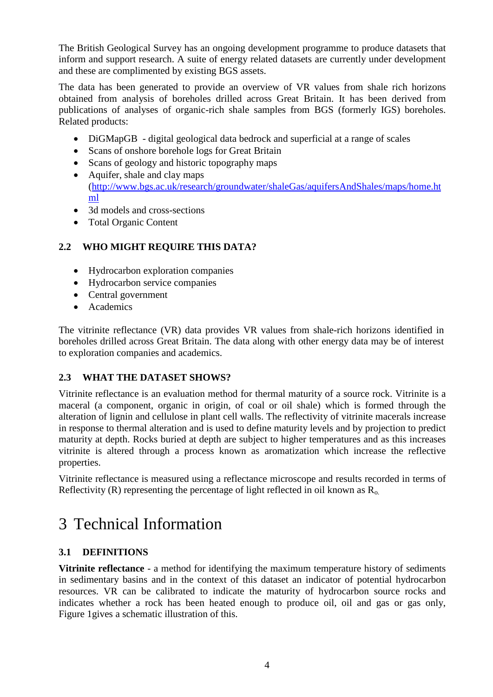The British Geological Survey has an ongoing development programme to produce datasets that inform and support research. A suite of energy related datasets are currently under development and these are complimented by existing BGS assets.

The data has been generated to provide an overview of VR values from shale rich horizons obtained from analysis of boreholes drilled across Great Britain. It has been derived from publications of analyses of organic-rich shale samples from BGS (formerly IGS) boreholes. Related products:

- DiGMapGB digital geological data bedrock and superficial at a range of scales
- Scans of onshore borehole logs for Great Britain
- Scans of geology and historic topography maps
- Aquifer, shale and clay maps [\(http://www.bgs.ac.uk/research/groundwater/shaleGas/aquifersAndShales/maps/home.ht](http://www.bgs.ac.uk/research/groundwater/shaleGas/aquifersAndShales/maps/home.html) [ml](http://www.bgs.ac.uk/research/groundwater/shaleGas/aquifersAndShales/maps/home.html)
- 3d models and cross-sections
- Total Organic Content

## **2.2 WHO MIGHT REQUIRE THIS DATA?**

- Hydrocarbon exploration companies
- Hydrocarbon service companies
- Central government
- Academics

The vitrinite reflectance (VR) data provides VR values from shale-rich horizons identified in boreholes drilled across Great Britain. The data along with other energy data may be of interest to exploration companies and academics.

### **2.3 WHAT THE DATASET SHOWS?**

Vitrinite reflectance is an evaluation method for thermal maturity of a source rock. Vitrinite is a maceral (a component, organic in origin, of coal or oil shale) which is formed through the alteration of lignin and cellulose in plant cell walls. The reflectivity of vitrinite macerals increase in response to thermal alteration and is used to define maturity levels and by projection to predict maturity at depth. Rocks buried at depth are subject to higher temperatures and as this increases vitrinite is altered through a process known as aromatization which increase the reflective properties.

Vitrinite reflectance is measured using a reflectance microscope and results recorded in terms of Reflectivity (R) representing the percentage of light reflected in oil known as  $R_0$ .

# 3 Technical Information

## **3.1 DEFINITIONS**

**Vitrinite reflectance** - a method for identifying the maximum temperature history of sediments in sedimentary basins and in the context of this dataset an indicator of potential hydrocarbon resources. VR can be calibrated to indicate the maturity of hydrocarbon source rocks and indicates whether a rock has been heated enough to produce oil, oil and gas or gas only, [Figure 1g](#page-8-0)ives a schematic illustration of this.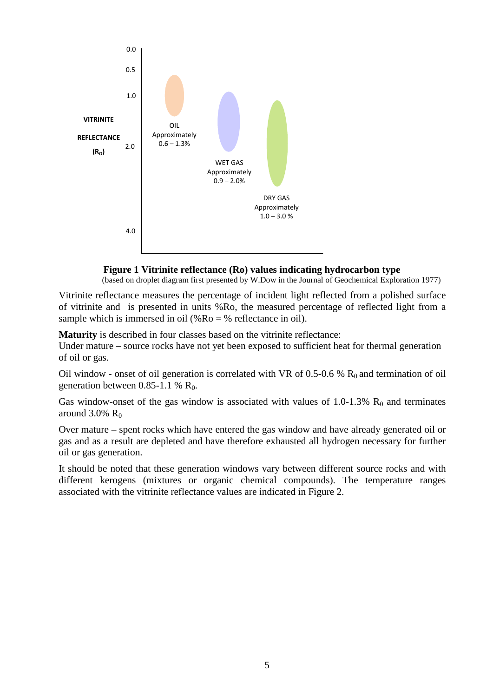

# **Figure 1 Vitrinite reflectance (Ro) values indicating hydrocarbon type** (based on droplet diagram first presented by W.Dow in the Journal of Geochemical Exploration 1977)

<span id="page-8-0"></span>Vitrinite reflectance measures the percentage of incident light reflected from a polished surface of vitrinite and is presented in units %Ro, the measured percentage of reflected light from a sample which is immersed in oil ( $%$ Ro =  $%$  reflectance in oil).

**Maturity** is described in four classes based on the vitrinite reflectance:

Under mature **–** source rocks have not yet been exposed to sufficient heat for thermal generation of oil or gas.

Oil window - onset of oil generation is correlated with VR of 0.5-0.6 %  $R_0$  and termination of oil generation between  $0.85-1.1$  %  $R_0$ .

Gas window-onset of the gas window is associated with values of  $1.0$ -1.3%  $R_0$  and terminates around  $3.0\%$  R<sub>0</sub>

Over mature – spent rocks which have entered the gas window and have already generated oil or gas and as a result are depleted and have therefore exhausted all hydrogen necessary for further oil or gas generation.

It should be noted that these generation windows vary between different source rocks and with different kerogens (mixtures or organic chemical compounds). The temperature ranges associated with the vitrinite reflectance values are indicated in [Figure 2.](#page-9-0)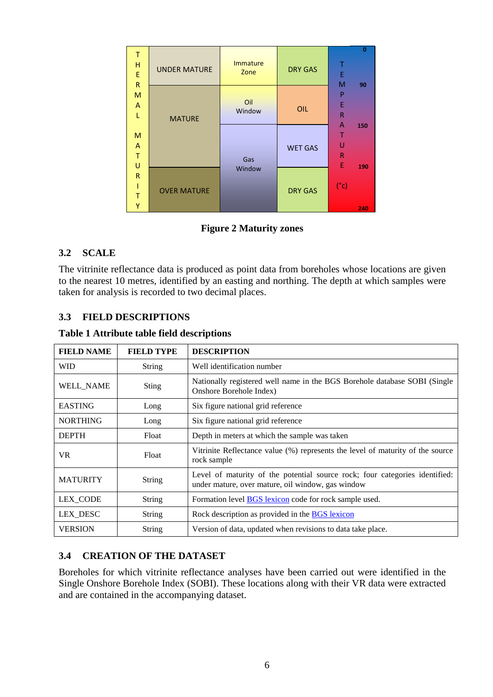| т<br>Н<br>$\mathsf E$<br>${\sf R}$ | <b>UNDER MATURE</b> | <b>Immature</b><br>Zone | <b>DRY GAS</b> | F<br>M                      | $\Omega$<br>90 |
|------------------------------------|---------------------|-------------------------|----------------|-----------------------------|----------------|
| M<br>A<br>ī.                       | <b>MATURE</b>       | Oil<br>Window           | OIL            | P<br>Ε<br>R                 |                |
| M<br>A<br>$\mathsf T$<br>U         |                     | Gas                     | <b>WET GAS</b> | A<br>U<br>$\mathsf{R}$<br>E | 150            |
| $\mathsf{R}$<br>т<br>Y             | <b>OVER MATURE</b>  | Window                  | <b>DRY GAS</b> | $(^{\circ}c)$               | 190<br>240     |

**Figure 2 Maturity zones**

### <span id="page-9-0"></span>**3.2 SCALE**

The vitrinite reflectance data is produced as point data from boreholes whose locations are given to the nearest 10 metres, identified by an easting and northing. The depth at which samples were taken for analysis is recorded to two decimal places.

## **3.3 FIELD DESCRIPTIONS**

|  |  |  |  | <b>Table 1 Attribute table field descriptions</b> |
|--|--|--|--|---------------------------------------------------|
|--|--|--|--|---------------------------------------------------|

| <b>FIELD NAME</b> | <b>FIELD TYPE</b> | <b>DESCRIPTION</b>                                                                                                               |
|-------------------|-------------------|----------------------------------------------------------------------------------------------------------------------------------|
| WID               | <b>String</b>     | Well identification number                                                                                                       |
| <b>WELL_NAME</b>  | Sting             | Nationally registered well name in the BGS Borehole database SOBI (Single<br>Onshore Borehole Index)                             |
| <b>EASTING</b>    | Long              | Six figure national grid reference                                                                                               |
| <b>NORTHING</b>   | Long              | Six figure national grid reference                                                                                               |
| <b>DEPTH</b>      | Float             | Depth in meters at which the sample was taken                                                                                    |
| VR.               | Float             | Vitrinite Reflectance value (%) represents the level of maturity of the source<br>rock sample                                    |
| <b>MATURITY</b>   | <b>String</b>     | Level of maturity of the potential source rock; four categories identified:<br>under mature, over mature, oil window, gas window |
| <b>LEX_CODE</b>   | <b>String</b>     | Formation level <b>BGS</b> lexicon code for rock sample used.                                                                    |
| LEX_DESC          | <b>String</b>     | Rock description as provided in the BGS lexicon                                                                                  |
| <b>VERSION</b>    | <b>String</b>     | Version of data, updated when revisions to data take place.                                                                      |

### **3.4 CREATION OF THE DATASET**

Boreholes for which vitrinite reflectance analyses have been carried out were identified in the Single Onshore Borehole Index (SOBI). These locations along with their VR data were extracted and are contained in the accompanying dataset.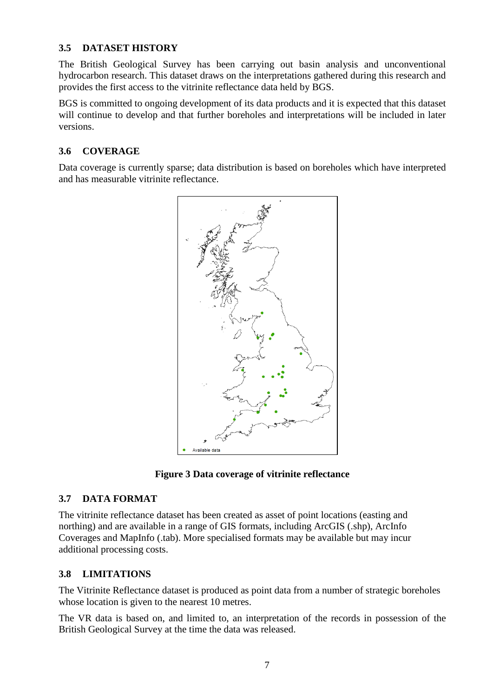### **3.5 DATASET HISTORY**

The British Geological Survey has been carrying out basin analysis and unconventional hydrocarbon research. This dataset draws on the interpretations gathered during this research and provides the first access to the vitrinite reflectance data held by BGS.

BGS is committed to ongoing development of its data products and it is expected that this dataset will continue to develop and that further boreholes and interpretations will be included in later versions.

### **3.6 COVERAGE**

Data coverage is currently sparse; data distribution is based on boreholes which have interpreted and has measurable vitrinite reflectance.



**Figure 3 Data coverage of vitrinite reflectance** 

### **3.7 DATA FORMAT**

The vitrinite reflectance dataset has been created as asset of point locations (easting and northing) and are available in a range of GIS formats, including ArcGIS (.shp), ArcInfo Coverages and MapInfo (.tab). More specialised formats may be available but may incur additional processing costs.

### **3.8 LIMITATIONS**

The Vitrinite Reflectance dataset is produced as point data from a number of strategic boreholes whose location is given to the nearest 10 metres.

The VR data is based on, and limited to, an interpretation of the records in possession of the British Geological Survey at the time the data was released.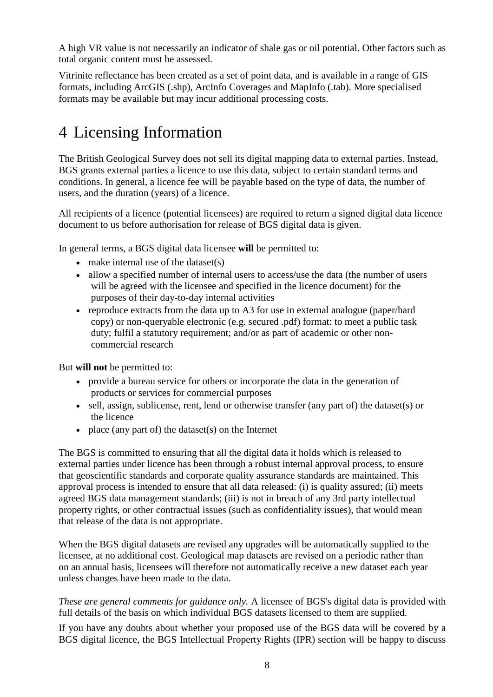A high VR value is not necessarily an indicator of shale gas or oil potential. Other factors such as total organic content must be assessed.

Vitrinite reflectance has been created as a set of point data, and is available in a range of GIS formats, including ArcGIS (.shp), ArcInfo Coverages and MapInfo (.tab). More specialised formats may be available but may incur additional processing costs.

# 4 Licensing Information

The British Geological Survey does not sell its digital mapping data to external parties. Instead, BGS grants external parties a licence to use this data, subject to certain standard terms and conditions. In general, a licence fee will be payable based on the type of data, the number of users, and the duration (years) of a licence.

All recipients of a licence (potential licensees) are required to return a signed digital data licence document to us before authorisation for release of BGS digital data is given.

In general terms, a BGS digital data licensee **will** be permitted to:

- make internal use of the dataset(s)
- allow a specified number of internal users to access/use the data (the number of users will be agreed with the licensee and specified in the licence document) for the purposes of their day-to-day internal activities
- reproduce extracts from the data up to A3 for use in external analogue (paper/hard copy) or non-queryable electronic (e.g. secured .pdf) format: to meet a public task duty; fulfil a statutory requirement; and/or as part of academic or other noncommercial research

But **will not** be permitted to:

- provide a bureau service for others or incorporate the data in the generation of products or services for commercial purposes
- sell, assign, sublicense, rent, lend or otherwise transfer (any part of) the dataset(s) or the licence
- place (any part of) the dataset(s) on the Internet

The BGS is committed to ensuring that all the digital data it holds which is released to external parties under licence has been through a robust internal approval process, to ensure that geoscientific standards and corporate quality assurance standards are maintained. This approval process is intended to ensure that all data released: (i) is quality assured; (ii) meets agreed BGS data management standards; (iii) is not in breach of any 3rd party intellectual property rights, or other contractual issues (such as confidentiality issues), that would mean that release of the data is not appropriate.

When the BGS digital datasets are revised any upgrades will be automatically supplied to the licensee, at no additional cost. Geological map datasets are revised on a periodic rather than on an annual basis, licensees will therefore not automatically receive a new dataset each year unless changes have been made to the data.

*These are general comments for guidance only.* A licensee of BGS's digital data is provided with full details of the basis on which individual BGS datasets licensed to them are supplied.

If you have any doubts about whether your proposed use of the BGS data will be covered by a BGS digital licence, the BGS Intellectual Property Rights (IPR) section will be happy to discuss